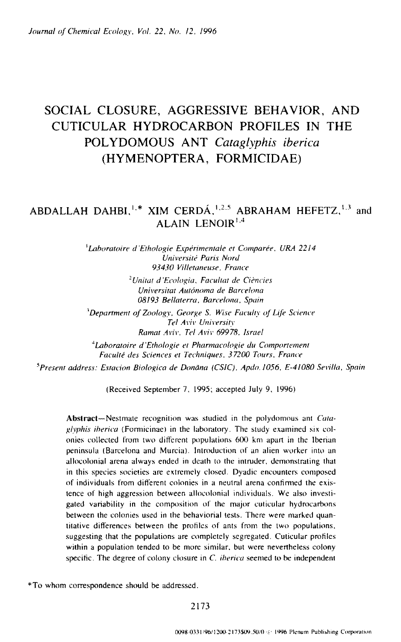# **SOCIAL CLOSURE, AGGRESSIVE BEHAVIOR, AND CUTICULAR HYDROCARBON PROFILES IN THE POLYDOMOUS ANT** *Cataglyphis iberica*  **(HYMENOPTERA, FORMICIDAE)**

# ABDALLAH DAHBI,<sup>1,\*</sup> XIM CERDÁ,<sup>1,2,5</sup> ABRAHAM HEFETZ,<sup>1,3</sup> and ALAIN LENOIR $^{1,4}$

<sup>1</sup>Laboratoire d'Ethologie Expérimentale et Comparée, URA 2214 Université Paris Nord *93430 l/illetaneuse, France* 

> <sup>2</sup>Unitat d'Ecologia, Facultat de Ciències *Universitat Aut6noma de Barcelona 08193 Beilaterra, Barcelona, Spain*

<sup>3</sup>Department of Zoology, George S. Wise Faculty of Life Science *Tel A viv University Ramat Aviv, Tel Aviv 69978, Israel* 

<sup>4</sup>Laboratoire d'Ethologie et Pharmacologie du Comportement Faculté des Sciences et Techniques, 37200 Tours, France

<sup>5</sup> Present address: Estacion Biologica de Donāna (CSIC), Apdo. 1056, E-41080 Sevilla, Spain

(Received September 7. 1995; accepted July 9, 1996)

Abstract--Nestmate recognition was studied in the polydomous ant *Cataglyphis iherica* (Forruicinae) in the laboratory. The study examined six colonies collected from two different populations 600 km apart in the Iberian peninsula (Barcelona and Murcia). Introduction of an alien worker into an allocolonial arena always ended in death to the intruder, demonstrating that in this species societies are extremely closed. Dyadic encounters composed of individuals from different colonies in a neutral arena confirmed the existence of high aggression between allocolonial individuals. We also investigated variability in the composition of the major cuticular hydrocarbons between the colonies used in the behaviorial tests. There were marked quantitative differences between the profiles of ants from the two populations. suggesting that the populations are completely segregated. Cuticular profiles within a population tended to be more similar, but were nevertheless colony specific. The degree of colony closure in *C. iberica* seemed to be independent

\*To whom correspondence should be addressed.

2173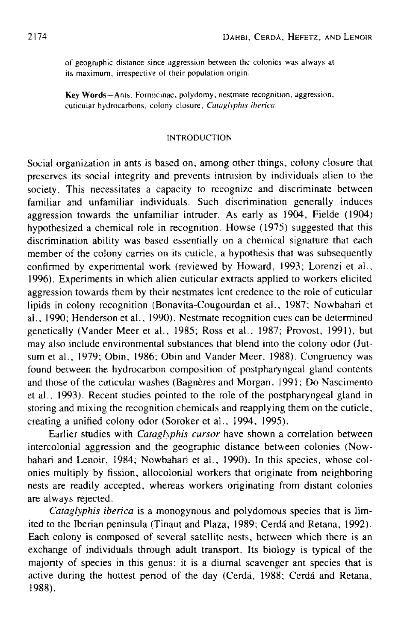of geographic distance since aggression between thc colonies was always at its maximum, irrespective of their population origin.

Key Words--Ants, Formicinae, polydomy, nestmate recognition, aggression, cuticular hydrocarbons, colony closure, *Cataglyphis iberica,* 

## INTRODUCTION

Social organization in ants is based on, among other things, colony closure that preserves its social integrity and prevents intrusion by individuals alien to the society. This necessitates a capacity to recognize and discriminate between familiar and unfamiliar individuals. Such discrimination generally induces aggression towards the unfamiliar intruder. As early as 1904, Fielde (1904) hypothesized a chemical role in recognition. Howse (1975) suggested that this discrimination ability was based essentially on a chemical signature that each member of the colony carries on its cuticle, a hypothesis that was subsequently confirmed by experimental work (reviewed by Howard, 1993; Lorenzi et al., 1996). Experiments in which alien cuticular extracts applied to workers elicited aggression towards them by their nestmates lent credence to the role of cutieular lipids in colony recognition (Bonavita-Cougourdan et al., 1987; Nowbahari et al., 1990; Henderson et al., 1990). Nestmate recognition cues can be determined genetically (Vander Meer et al., 1985; Ross et al., 1987; Provost, 1991), but may also include environmental substances that blend into the colony odor (Jutsum et al., 1979; Obin, 1986: Obin and Vander Meer, 1988). Congruency was found between the hydrocarbon composition of postpharyngeal gland contents and those of the cuticular washes (Bagnères and Morgan, 1991; Do Nascimento et al., 1993). Recent studies pointed to the role of the postpharyngeal gland in storing and mixing the recognition chemicals and reapplying them on the cuticle, creating a unified colony odor (Soroker et al., 1994, 1995).

Earlier studies with *Cataglyphis cursor* have shown a correlation between intercolonial aggression and the geographic distance between colonies (Nowbahari and Lenoir, 1984; Nowbahari et al., 1990). In this species, whose colonies multiply by fission, allocolonial workers that originate from neighboring nests are readily accepted, whereas workers originating from distant colonies are always rejected.

*Cataglyphis iberica* is a monogynous and polydomous species that is limited to the Iberian peninsula (Tinaut and Plaza, 1989; Cerdá and Retana, 1992). Each colony is composed of several satellite nests, between which there is an exchange of individuals through adult transport. Its biology is typical of the majority of species in this genus: it is a diurnal scavenger ant species that is active during the hottest period of the day (Cerdá, 1988; Cerdá and Retana, 1988).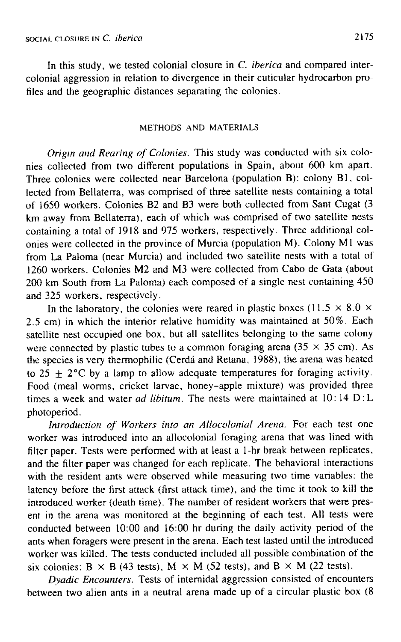In this study, we tested colonial closure in *C. iberica* and compared intercolonial aggression in relation to divergence in their cuticular hydrocarbon profiles and the geographic distances separating the colonies.

#### METHODS AND MATERIALS

*Origin and Rearing of Colonies.* This study was conducted with six colonies collected from two different populations in Spain, about 600 km apart. Three colonies were collected near Barcelona (population B): colony B1, collected from Bellaterra, was comprised of three satellite nests containing a total of t650 workers. Colonies B2 and B3 were both collected from Sant Cugat (3 km away from Bellaterra), each of which was comprised of two satellite nests containing a total of 1918 and 975 workers, respectively. Three additional colonies were collected in the province of Murcia (population M). Colony M1 was from La Paloma (near Murcia) and included two satellite nests with a total of 1260 workers. Colonies M2 and M3 were collected from Cabo de Gata (about 200 km South from La Paloma) each composed of a single nest containing 450 and 325 workers, respectively.

In the laboratory, the colonies were reared in plastic boxes (11.5  $\times$  8.0  $\times$ 2.5 cm) in which the interior relative humidity was maintained at 50%. Each satellite nest occupied one box, but all satellites belonging to the same colony were connected by plastic tubes to a common foraging arena ( $35 \times 35$  cm). As the species is very thermophilic (Cerdá and Retana, 1988), the arena was heated to 25  $\pm$  2°C by a lamp to allow adequate temperatures for foraging activity. Food (meal worms, cricket larvae, honey-apple mixture) was provided three times a week and water *ad libitum*. The nests were maintained at 10:14 D:L photoperiod.

*Introduction of Workers into an Allocolonial Arena.* For each test one worker was introduced into an allocolonial foraging arena that was lined with filter paper. Tests were performed with at least a 1-hr break between replicates, and the filter paper was changed for each replicate. The behavioral interactions with the resident ants were observed while measuring two time variables: the latency before the first attack (first attack time), and the time it took to kill the introduced worker (death time). The number of resident workers that were present in the arena was monitored at the beginning of each test. All tests were conducted between 10:00 and 16:00 hr during the daily activity period of the ants when foragers were present in the arena. Each test lasted until the introduced worker was killed. The tests conducted included all possible combination of the six colonies: B  $\times$  B (43 tests), M  $\times$  M (52 tests), and B  $\times$  M (22 tests).

*Dyadic Encounters.* Tests of internidal aggression consisted of encounters between two alien ants in a neutral arena made up of a circular plastic box (8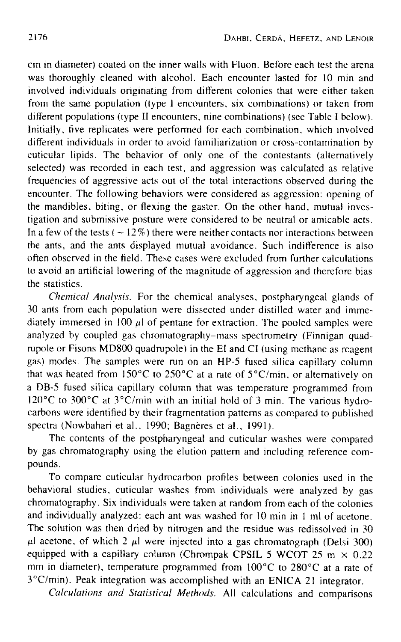cm in diameter) coated on the inner walls with Fluon. Before each test the arena was thoroughly cleaned with alcohol. Each encounter lasted for 10 min and involved individuals originating from different colonies that were either taken from the same population (type I encounters, six combinations) or taken from different populations (type II encounters, nine combinations) (see Table I below). Initially, five replicates were performed for each combination, which involved different individuals in order to avoid familiarization or cross-contamination by cuticular lipids. The behavior of only one of the contestants (alternatively selected) was recorded in each test, and aggression was calculated as relative frequencies of aggressive acts out of the total interactions observed during the encounter. The following behaviors were considered as aggression: opening of the mandibles, biting, or flexing the gaster. On the other hand, mutual investigation and submissive posture were considered to be neutral or amicable acts. In a few of the tests ( $\sim$  12%) there were neither contacts nor interactions between the ants, and the ants displayed mutual avoidance. Such indifference is also often observed in the field. These cases were excluded from further calculations to avoid an artificial lowering of the magnitude of aggression and therefore bias the statistics.

*Chemical Analysis.* For the chemical analyses, postpharyngeal glands of 30 ants from each population were dissected under distilled water and immediately immersed in 100  $\mu$ l of pentane for extraction. The pooled samples were analyzed by coupled gas chromatography-mass spectrometry (Finnigan quadrupole or Fisons MD800 quadrupole) in the El and CI (using methane as reagent gas) modes. The samples were run on an HP-5 fused silica capillary column that was heated from 150 $^{\circ}$ C to 250 $^{\circ}$ C at a rate of 5 $^{\circ}$ C/min, or alternatively on a DB-5 fused silica capillary column that was temperature programmed from 120 $^{\circ}$ C to 300 $^{\circ}$ C at 3 $^{\circ}$ C/min with an initial hold of 3 min. The various hydrocarbons were identified by their fragmentation patterns as compared to published spectra (Nowbahari et al., 1990; Bagnères et al., 1991).

The contents of the postpharyngeal and cuticular washes were compared by gas chromatography using the elution pattern and including reference compounds.

To compare cuticular hydrocarbon profiles between colonies used in the behavioral studies, cuticular washes from individuals were analyzed by gas chromatography. Six individuals were taken at random from each of the colonies and individually analyzed: each ant was washed for 10 min in 1 ml of acetone. The solution was then dried by nitrogen and the residue was redissolved in 30  $\mu$ l acetone, of which 2  $\mu$ I were injected into a gas chromatograph (Delsi 300) equipped with a capillary column (Chrompak CPSIL 5 WCOT 25 m  $\times$  0.22 mm in diameter), temperature programmed from 100°C to 280°C at a rate of 3°C/rain). Peak integration was accomplished with an ENICA 21 integrator.

*Calculations and Statistical Methods.* All calculations and comparisons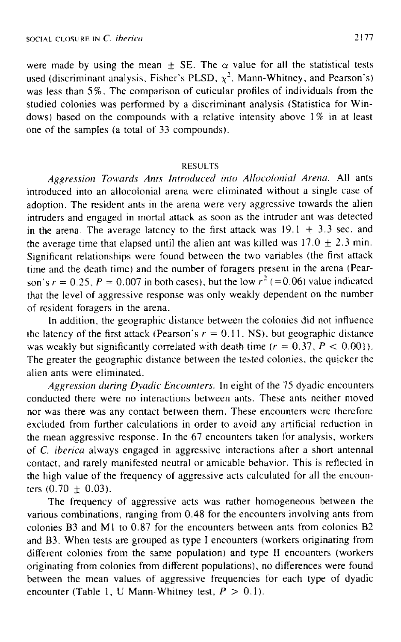were made by using the mean  $\pm$  SE. The  $\alpha$  value for all the statistical tests used (discriminant analysis, Fisher's PLSD,  $\chi^2$ , Mann-Whitney, and Pearson's) was less than 5%. The comparison of cuticular profiles of individuals from the studied colonies was performed by a discriminant analysis (Statistica for Windows) based on the compounds with a relative intensity above 1% in at least one of the samples (a total of 33 compounds).

## RESULTS

Aggression Towards Ants Introduced into Allocolonial Arena. All ants introduced into an allocolonial arena were eliminated without a single case of adoption, The resident ants in the arena were very aggressive towards the alien intruders and engaged in mortal attack as soon as the intruder ant was detected in the arena. The average latency to the first attack was  $19.1 \pm 3.3$  sec, and the average time that elapsed until the alien ant was killed was  $17.0 \pm 2.3$  min. Significant relationships were found between the two variables (the first attack time and the death time) and the number of foragers present in the arena (Pearson's  $r = 0.25$ ,  $P = 0.007$  in both cases), but the low  $r^2$  (=0.06) value indicated that the level of aggressive response was only weakly dependent on the number of resident foragers in the arena.

In addition, the geographic distance between the colonies did not influence the latency of the first attack (Pearson's  $r = 0.11$ , NS), but geographic distance was weakly but significantly correlated with death time ( $r = 0.37$ ,  $P < 0.001$ ). The greater the geographic distance between the tested colonies, the quicker the alien ants were eliminated.

*Aggression during Dyadic Encounters.* In eight of the 75 dyadic encounters conducted there were no interactions between ants. These ants neither moved nor was there was any contact between them. These encounters were therefore excluded from further calculations in order to avoid any artificial reduction in the mean aggressive response. In the 67 encounters taken for analysis, workers of *C. iberica* always engaged in aggressive interactions after a short antennal contact, and rarely manifested neutral or amicable behavior, This is reflected in the high value of the frequency of aggressive acts calculated for all the encounters  $(0.70 \pm 0.03)$ .

The frequency of aggressive acts was rather homogeneous between the various combinations, ranging from 0.48 for the encounters involving ants from colonies B3 and MI to 0.87 for the encounters between ants from colonies B2 and B3. When tests are grouped as type I encounters (workers originating from different colonies from the same population) and type II encounters (workers originating from colonies from different populations), no differences were tbund between the mean values of aggressive frequencies for each type of dyadic encounter (Table 1, U Mann-Whitney test,  $P > 0.1$ ).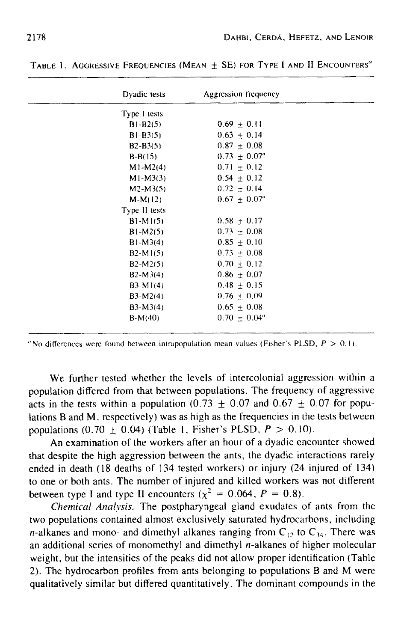| BLE 1. AGGRESSIVE PREQUENCIES (MEAN ± SE) FOR TYPE I AND IL ENCO |              |                      |  |
|------------------------------------------------------------------|--------------|----------------------|--|
|                                                                  | Dyadic tests | Aggression frequency |  |
|                                                                  | Type I tests |                      |  |
|                                                                  | $B1 - B2(5)$ | $0.69 + 0.11$        |  |
|                                                                  | $B1 - B3(5)$ | $0.63 \pm 0.14$      |  |
|                                                                  | $B2 - B3(5)$ | $0.87 + 0.08$        |  |

 $B-B(15)$  0.73 + 0.07"  $M1-M2(4)$  0.71 + 0.12  $M1-M3(3)$  0.54 + 0.12  $M2-M3(5)$  0.72  $\pm$  0.14  $M-M(12)$  0.67 + 0.07"

 $B1-M1(5)$  0.58  $\pm$  0.17  $B1-M2(5)$  0.73 + 0.08  $B1-M3(4)$  0.85 + 0.10 B2-M1(5) 0.73  $\pm$  0.08  $B2-M2(5)$  0.70 + 0.12 B2-M3(4)  $0.86 \pm 0.07$  $B3-M1(4)$  0.48 + 0.15 B3-M2(4) 0.76  $\pm$  0.09 B3-M3(4) 0.65  $\pm$  0.08  $B-M(40)$  0.70  $\pm$  0.04"

**Type tl tests** 

TABLE 1. AGGRESSIVE FREQUENCIES (MEAN + SE) FOR TYPE I AND II ENCOUNTERS"

"No differences were found between intrapopulation mean values (Fisher's PLSD,  $P > 0.1$ ).

**We further tested whether the levels of intercolonial aggression within a population differed from that between populations. The frequency of aggressive**  acts in the tests within a population  $(0.73 + 0.07)$  and  $(0.67 + 0.07)$  for popu**lations B and M, respectively) was as high as the frequencies in the tests between populations (0.70**  $\pm$  **0.04) (Table 1, Fisher's PLSD,**  $P > 0.10$ **).** 

**An examination of the workers after an hour of a dyadic encounter showed that despite the high aggression between the ants, the dyadic interactions rarely ended in death (18 deaths of 134 tested workers) or injury (24 injured of 134) to one or both ants. The number of injured and killed workers was not different**  between type I and type II encounters  $(x^2 = 0.064, P = 0.8)$ .

*Chemical Analysis.* **The postpharyngeal gland exudates of ants from the two populations contained almost exclusively saturated hydrocarbons, including**  *n*-alkanes and mono- and dimethyl alkanes ranging from  $C_{12}$  to  $C_{34}$ . There was **an additional series of monomethyl and dimethyl n-alkanes of higher molecular weight, but the intensities of the peaks did not allow proper identification (Table 2). The hydrocarbon profiles from ants belonging to populations B and M were qualitatively similar but differed quantitatively. The dominant compounds in the**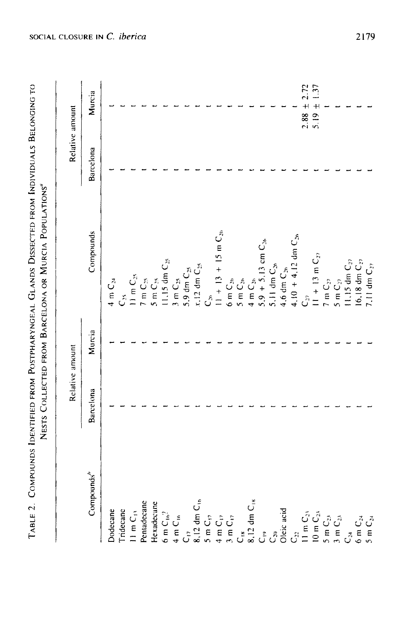| $\ddot{\phantom{0}}$<br>$\ddotsc$<br>$\vdots$<br>ここ ディー・・・・ くっとこと くとししくししじじこ こく<br>TABLE 2. COMPOUNDS IDENTIFIED FROM POSTPHARYNCEAL $G_{1A}$ NC | Nicerc Courses seen RABCSI ONA OB MILBOILA Population |
|--------------------------------------------------------------------------------------------------------------------------------------------------|-------------------------------------------------------|
| ı<br>I                                                                                                                                           |                                                       |
|                                                                                                                                                  |                                                       |

 $\tilde{c}$ 

|                                                                                                                |                 |        | NESTS COLLECTED FROM BARCELONA OR MURCIA POPULATIONS"                                               |           |                                                               |
|----------------------------------------------------------------------------------------------------------------|-----------------|--------|-----------------------------------------------------------------------------------------------------|-----------|---------------------------------------------------------------|
|                                                                                                                | Relative amount |        |                                                                                                     |           | Relative amount                                               |
| Compounds"                                                                                                     | Barcelona       | Murcia | Compounds                                                                                           | Barcelona | Murcia                                                        |
| Dodecane                                                                                                       |                 |        | $4 \text{ m C}_{24}$                                                                                |           |                                                               |
| Tridecanc                                                                                                      |                 |        | $C_{\mathcal{S}}$                                                                                   |           |                                                               |
| $11 \text{ m C}_1$                                                                                             |                 |        | $11 \text{ m C}_{25}$                                                                               |           |                                                               |
| Pentadecane                                                                                                    |                 |        | $7 \text{ m C}_2$                                                                                   |           |                                                               |
| Hexadecane                                                                                                     |                 |        | $5 \text{ m C}_2$                                                                                   |           |                                                               |
| $6 \text{ m } \mathsf{C}_{\text{1b}}$                                                                          |                 |        | 11.15 dm C <sub>25</sub>                                                                            |           |                                                               |
| $4 \text{ m C}_{16}$                                                                                           |                 |        | $3 \text{ m C}_2$                                                                                   |           |                                                               |
|                                                                                                                |                 |        | 5,9 dm C <sub>25</sub>                                                                              |           |                                                               |
| $C_{17}$<br>8,12 dm $C_{16}$                                                                                   |                 |        | $x,12$ dm $\mathrm{C_{25}}$                                                                         |           |                                                               |
|                                                                                                                |                 |        | $\mathcal{C}^{\mathfrak{s}}$                                                                        |           |                                                               |
| $\begin{array}{l}\n5\text{ m }C_{17} \\ 4\text{ m }C_{17} \\ 3\text{ m }C_{17}\n\end{array}$                   |                 |        | $11 + 13 + 15$ m C <sub>26</sub>                                                                    |           |                                                               |
|                                                                                                                |                 |        |                                                                                                     |           |                                                               |
|                                                                                                                |                 |        |                                                                                                     |           |                                                               |
| $C_{18}$<br>8,12 dm $C_{18}$                                                                                   |                 |        | 6 m C <sub>2n</sub><br>5 m C <sub>2n</sub><br>4 m C <sub>2n</sub><br>5 9 + 5, 13 cm C <sub>2n</sub> |           |                                                               |
| $\tilde{c}$                                                                                                    |                 |        |                                                                                                     |           |                                                               |
| C <sub>30</sub><br>Oleic acid                                                                                  |                 |        | $5.11$ dm $C_{26}$                                                                                  |           |                                                               |
|                                                                                                                |                 |        | 4,6 dm $C_{26}$                                                                                     |           |                                                               |
|                                                                                                                |                 |        | $4.10 + 4.12$ dm $C_{2h}$                                                                           |           |                                                               |
|                                                                                                                |                 |        | $C_{ij}$                                                                                            |           |                                                               |
| $C_{22}$<br>$11 \text{ m } C_{23}$<br>$10 \text{ m } C_{23}$<br>$5 \text{ m } C_{23}$<br>$3 \text{ m } C_{23}$ |                 |        | $11 + 13$ m $C_{27}$                                                                                |           | $\begin{array}{c} 2.88 \pm 2.72 \\ 5.19 \pm 1.37 \end{array}$ |
|                                                                                                                |                 |        | 7 m $\mathsf{C}_{\mathcal{D}}$                                                                      |           |                                                               |
|                                                                                                                |                 |        | 5 m $C_{22}$                                                                                        |           |                                                               |
| رج<br>آن                                                                                                       |                 |        | $11.15$ dm $\mathrm{C}_2,$                                                                          |           |                                                               |
| $6 \text{ m C}_M$                                                                                              |                 |        | $16.18$ dm $C_{22}$                                                                                 |           |                                                               |
| $5 \text{ m C}_{24}$                                                                                           |                 |        | 7.11 dm $C_{22}$                                                                                    |           |                                                               |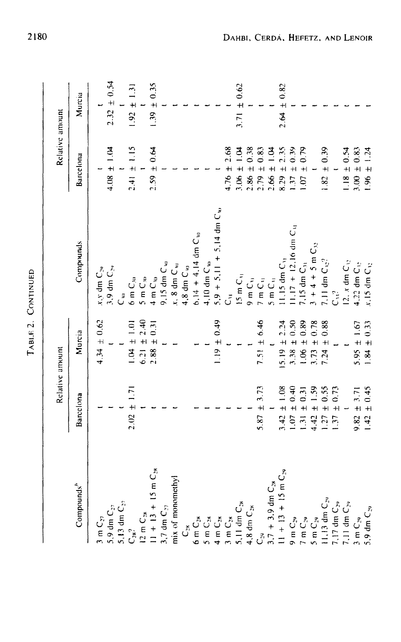| ٤<br>ĩ<br>r |
|-------------|
| ť           |
| c<br>Ĥ      |

|                                  |                 | Relative amount      |                                    | Relative amount            |                 |
|----------------------------------|-----------------|----------------------|------------------------------------|----------------------------|-----------------|
| Compounds <sup>"</sup>           | Barcelona       | Murcia               | Compounds                          | Barcelona                  | Murcia          |
| $3 \text{ m C}_{27}$             |                 | $4.34 \pm 0.62$      | $x_i y$ dm $C_{29}$                |                            |                 |
| 5.9 dm $C_{27}$                  |                 |                      | 3.9 dm C <sub>29</sub>             | $4.08 \pm 1.04$            | $2.32 \pm 0.54$ |
| 5,13 dm $C_{22}$                 |                 |                      | $\mathring{\tilde{C}}$             |                            |                 |
| C <sub>36</sub> ?                | $2.02 \pm 1.71$ | $1.01 \pm 1.01$      | $6 \text{ m C}_{30}$               | $2.41 \pm 1.15$            | $1.92 \pm 1.31$ |
| $12 \text{ m C}_2$               |                 | $6.21 \pm 2.40$      | $5 \text{ m C}_{30}$               |                            |                 |
| $11 + 13 + 15$ m C <sub>28</sub> |                 | $2.88 \pm 0.31$      | $4 \text{ m C}_{w}$                | $2.59 \pm 0.64$            | $1.39 \pm 0.35$ |
| 3,7 dm $C_{27}$                  |                 |                      | 9.15 dm C <sub>w</sub>             |                            |                 |
| mix of monomethyl                |                 |                      | $x, 8$ dm $C_w$                    |                            |                 |
| نٌ<br>ت                          |                 |                      | 4,8 dm C <sub>to</sub>             |                            |                 |
| $6 \text{ m C}_{28}$             |                 |                      | $6.14 + 4.14$ dm $C_{10}$          |                            |                 |
| $5 \text{ m C}_{28}$             |                 |                      | $4.10 \text{ dm C}_w$              |                            |                 |
| $4 \text{ m C}_{28}$             |                 | $1.19 \pm 0.49$      | $5.9 + 5.11 + 5.14$ dm $C_w$       |                            |                 |
| $3 \text{ m C}_2$                |                 |                      | $\tilde{\tilde{C}}$                | $4.76 \pm 2.68$            |                 |
| 5.11 dm C <sub>38</sub>          |                 |                      | $15 \text{ m C}11$                 | $3.06 \pm 1.04$            | $3.71 \pm 0.62$ |
| 4,8 dm $C_{28}$                  |                 |                      | $9 \text{ m C}_{\mathfrak{t}_1}$   | $2.86 \pm 0.38$            |                 |
|                                  | $5.87 \pm 3.73$ | 7.51 $\pm$ 6.46      | $7 \text{ m } C_{ij}$              | $2.79 \pm 0.83$            |                 |
| $3.7 + 3.9$ dm $C_{28}$          |                 |                      | $5mC_{\rm H}$                      | $2.66 \pm 1.04$            |                 |
| $11 + 13 + 15$ m C <sub>29</sub> | $3.42 \pm 1.08$ | $5.19 \pm 2.24$      | $11.15$ dm $C_{11}$                | $8.29 \pm 2.35$            | $2.64 \pm 0.82$ |
| $9$ m $C_{29}$                   | $0.07 \pm 0.40$ | $3.38 \pm 0.50$      | $11.17 + 12.16$ dm C <sub>11</sub> | $1.37 \pm 0.39$            |                 |
| 7 m C <sub>39</sub>              | $1.31 \pm 0.31$ | 0.89<br>$1.06 \pm 1$ | 7,15 dm $C_{31}$                   | 0.79<br>$\ddot{+}$<br>1.07 |                 |
| $5 \text{ m C}_{29}$             | $1.42 \pm 1.59$ | $\pm$ 0.78<br>3.73   | $3 + 4 + 5$ m $C_{12}$             |                            |                 |
| 11,13 dm C <sub>29</sub>         | $.27 \pm 0.55$  | 0.88<br>$+1$<br>7.24 | 7.11 dm $C_{32}$ ?                 | $1.82 \pm 0.39$            |                 |
| $7.17$ dm $C_{29}$               | $.37 \pm 0.73$  |                      | دو<br>آن                           |                            |                 |
| 7.11 dm $C_{29}$                 |                 |                      | 12. $x$ dm $C_{12}$                | $1.18 \pm 0.54$            |                 |
| $3 \text{ m C}_{29}$             | $9.82 \pm 3.71$ | $5.95 \pm 1.67$      | 4,22 dm C <sub>12</sub>            | $3.00 \pm 0.83$            |                 |
| 5.9 dm $C_{29}$                  | $1.42 \pm 0.45$ | $1.84 \pm 0.33$      | $x, 15$ dm $C_{32}$                | $1.96 \pm 1.24$            |                 |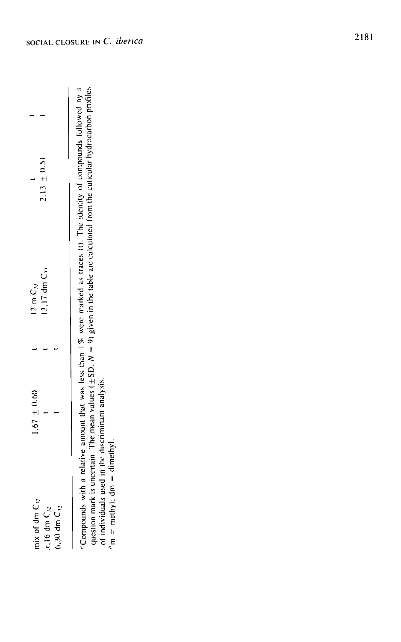|                    | $2.13 \pm 0.51$     |                    |
|--------------------|---------------------|--------------------|
| $12 \text{ m C}_M$ | $(3,17$ dm $C_{11}$ |                    |
|                    |                     |                    |
| $1.67 \pm 0.60$    |                     |                    |
| mix of dm $C_{32}$ | $x, 16$ dm $C_{32}$ | $6,30$ dm $C_{32}$ |

"Compounds with a relative amount that was less than 1% were marked as traces (t). The identity of compounds followed by a question mark is uncertain. The mean values  $\pm$  SD,  $N = 9$  given in the table are calculated from "Compounds with a relative amount that was less than 1% were marked as traces (t). The identity of compounds followed by a question mark is uncertain. The mean values ( $\pm$ SD, N = 9) given in the table are calculated from the cuticular hydrocarbon profiles of individuals used in the discriminant analysis.<br> $h_{\text{m}} = \text{methyl}$ ; dm = dimethyl. of individuals used in the discriminant analysis.

 $m =$  methyl: dm  $=$  dimethyl.

 $\mathbf{I}$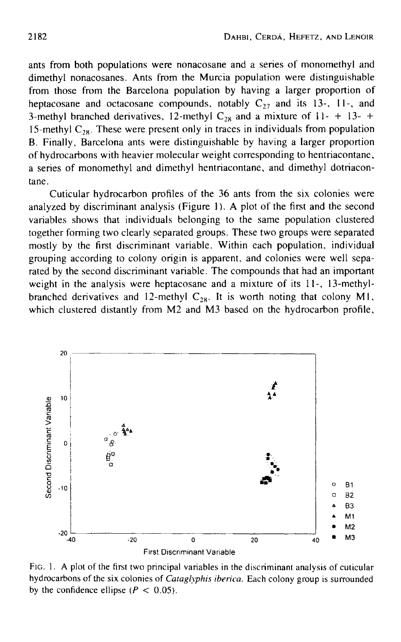ants from both populations were nonacosane and a series of monomethyl and dimethyl nonacosanes. Ants from the Murcia population were distinguishable from those from the Barcelona population by having a larger proportion of heptacosane and octacosane compounds, notably  $C_{27}$  and its 13-, 11-, and 3-methyl branched derivatives, 12-methyl  $C_{28}$  and a mixture of 11- + 13- + 15-methyl  $C_{28}$ . These were present only in traces in individuals from population B. Finally, Barcelona ants were distinguishable by having a larger proportion of hydrocarbons with heavier molecular weight corresponding to hentriacontane, a series of monomethyl and dimethyl hentriacontane, and dimethyl dotriacontane.

Cuticular hydrocarbon profiles of the 36 ants from the six colonies were analyzed by discriminant analysis (Figure I). A plot of the first and the second variables shows that individuals belonging to the same population clustered together forming two clearly separated groups. These two groups were separated mostly by the first discriminant variable. Within each population, individual grouping according to colony origin is apparent, and colonies were well separated by the second discriminant variable. The compounds that had an important weight in the analysis were heptacosane and a mixture of its 11-, 13-methylbranched derivatives and 12-methyl  $C_{28}$ . It is worth noting that colony M1, which clustered distantly from M2 and M3 based on the hydrocarbon profile,



FIG. 1. A plot of the first two principal variables in the discriminant analysis of cuticular hydrocarbons of the six colonies of *Cataglyphis iberica.* Each colony group is surrounded by the confidence ellipse ( $P < 0.05$ ).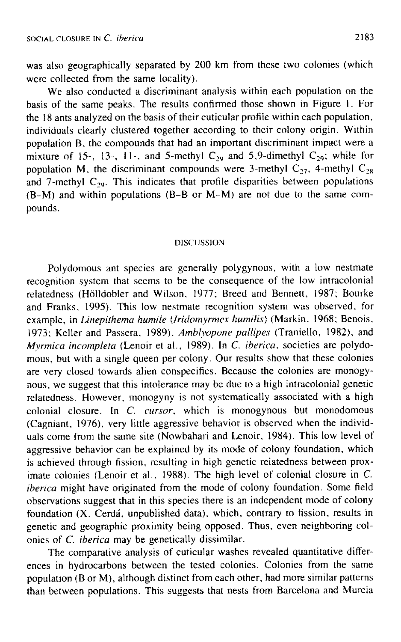was also geographically separated by 200 km from these two colonies (which were collected from the same locality).

We also conducted a discriminant analysis within each population on the basis of the same peaks. The results confirmed those shown in Figure 1. For the 18 ants analyzed on the basis of their cuticular profile within each population, individuals clearly clustered together according to their colony origin. Within population B, the compounds that had an important discriminant impact were a mixture of 15-, 13-, 11-, and 5-methyl  $C_{29}$  and 5,9-dimethyl  $C_{29}$ ; while for population M, the discriminant compounds were 3-methyl  $C_{27}$ , 4-methyl  $C_{28}$ and 7-methyl  $C_{29}$ . This indicates that profile disparities between populations (B-M) and within populations (B-B or M-M) are not due to the same compounds.

#### DISCUSSION

Polydomous ant species are generally polygynous, with a low nestmate recognition system that seems to be the consequence of the low intracolonial relatedness (H611dobler and Wilson, 1977; Breed and Bennett, 1987; Bourke and Franks, 1995). This low nestmate recognition system was observed, for example, in *Linepithema humile (Iridomyrmex humilis)* (Markin, 1968; Benois, 1973; Keller and Passera, 1989), *Amblyopone pallipes* (Traniello, 1982), and *Mvrmica incompleta* (Lenoir et al., 1989). In *C. iberica,* societies are polydomous, but with a single queen per colony. Our results show that these colonies are very closed towards alien conspecifics. Because the colonies are monogynous, we suggest that this intolerance may be due to a high intracolonial genetic relatedness. However, monogyny is not systematically associated with a high colonial closure. In *C. cursor,* which is monogynous but monodomous (Cagniant, 1976), very little aggressive behavior is observed when the individuals come from the same site (Nowbahari and Lenoir, 1984). This low level of aggressive behavior can be explained by its mode of colony foundation, which is achieved through fission, resulting in high genetic relatedness between proximate colonies (Lenoir et al., 1988). The high level of colonial closure in C, *iberica* might have originated from the mode of colony foundation. Some field observations suggest that in this species there is an independent mode of colony foundation (X. Cerdá, unpublished data), which, contrary to fission, results in genetic and geographic proximity being opposed. Thus, even neighboring colonies of *C. iberica* may be genetically dissimilar.

The comparative analysis of cuticular washes revealed quantitative differences in hydrocarbons between the tested colonies. Colonies from the same population (B or M), although distinct from each other, had more similar patterns than between populations. This suggests that nests from Barcelona and Murcia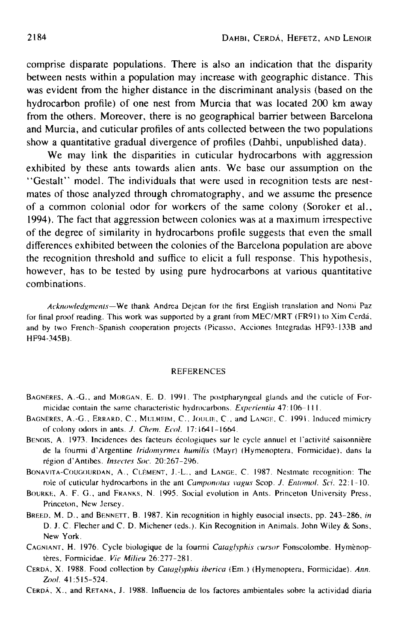**comprise disparate populations. There is also an indication that the disparity between nests within a population may increase with geographic distance. This was evident from the higher distance in the discriminant analysis (based on the hydrocarbon profile) of one nest from Murcia that was located 200 km away from the others. Moreover, there is no geographical barrier between Barcelona and Murcia, and cuticular profiles of ants collected between the two populations show a quantitative gradual divergence of profiles (Dahbi, unpublished data).** 

**We may link the disparities in cuticular hydrocarbons with aggression exhibited by these ants towards alien ants. We base our assumption on the "Gestalt" model. The individuals that were used in recognition tests are nestmates of those analyzed through chromatography, and we assume the presence of a common colonial odor for workers of the same colony (Soroker et al., 1994). The fact that aggression between colonies was at a maximum irrespective of the degree of similarity in hydrocarbons profile suggests that even the small differences exhibited between the colonies of the Barcelona population are above the recognition threshold and suffice to elicit a full response. This hypothesis, however, has to be tested by using pure hydrocarbons at various quantitative combinations.** 

*Acknowledgments--We* thank Andrea Dejean **for the first English translation** and Nomi Paz for final proof reading. This work was supported by a grant from MEC/MRT (FR91) to Xim Cerdá, and by **two French-Spanish cooperation projects** (Picasso, Acciones lntegradas HF93-133B and HF94-345BL

#### **REFERENCES**

- BAGNERES~ A.-G., and MORGAN, E. D. 1991. **The postpharyngeal** glands and **the cuticle** of Formicidae **contain the same characteristic hydrocarbons.** *Experiemia* 47: 106-I I I.
- BAGNERES, A.-G., ERRARD, C., MULHEIM, C., JOULIE, C., and LANGE. C. 1991. Induced mimicry of colony odors in ants. *J. Chem. Ecol.* 17: 1641-1664.
- BENOIS, A. 1973. Incidences des facteurs écologiques sur le cycle annuel et l'activité saisonnière de la founni **d'Argentine** *Iridomyrmex humilis* (Mayr) (Hymenoptera, Formicidae), dans la région d'Antibes. *Insectes Soc.* 20:267-296.
- BONAVITA-COUGOURDAN, A., CLEMENT, J.-L., and LANGE, C. 1987. **Nestmate recognition: The**  role of **cuticular** hydrocarbons in **the ant** *Camponotus vagus* Scop. *J, Entomol. Sei.* 22: 1-10.
- BOURKE, A. F. G., and FRANKS, N. 1995. Social evolution in Ants. Princeton University Press, **Princeton, New Jersey.**
- BREED, M. D, and BENNETT, B. 1987. Kin recognition in **highly eusocial insects, pp.** 243-286, *in*  D J. C Flecher and C. D. Michener (eds.). Kin Recognition in Animals. John Wiley & Sons, **New** York.
- CAGNIANT, H. 1976. Cycle biologique de la fourmi *Cataglyphis cursor* Fonscolombe. Hymènoptères. Formicidae. Vie Milieu 26:277-281.
- CERDA, X. 1988. Food collection by *Cataglyphis iberica* (Era.) (Hymenoptera, Formicidae). *Ann. 7\_,ool.* 41:5t5-524.
- CERDA,, X., and RETANA, J. 1988. Influencia de **los factores ambientales sobre la actividad** diaria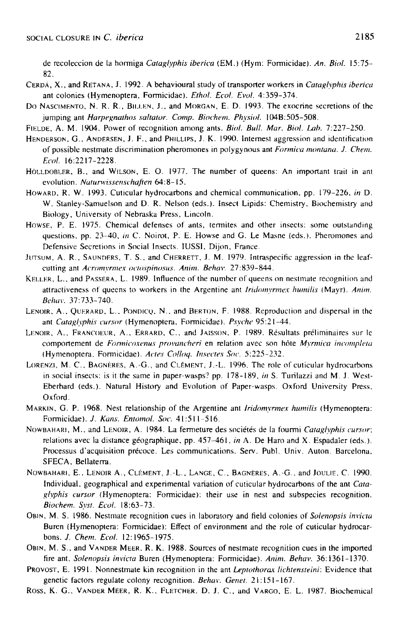de recoleccion de la hormiga *Cataglyphis iberica* (EM.) (Hym: Formicidae). *An. Biol.* 15:75- 82.

- CERD,~, X., and RETANA, J. 1992. A behavioural study of transporter workers in *Cataglyphis iberica*  ant colonies (Hymenoptera, Formicidae). *EthoL EcoL Evol.* 4:359-374.
- Do NASCIMENTO, N. R. R., BILLEN, J., and MORGAN, E. D. 1993. The exocrine secretions of the jumping ant *Harpegnathos saltator. Comp. Biochem. Physiol.* 104B:505-508.
- FIELDE, A. M. 1904. Power of recognition among ants. *Biol. Bull. Mar. Biol. Lab.* 7:227-250.
- HENDERSON, G., ANDERSEN, J. F., and PHILLIPS, J. K. 1990. lntemest aggression and identification of possible nestmate discrimination pheromones in polygynous ant *Formica montana. J. Chem. Eeol.* 16:2217-2228.
- HOLLIOBLER, B., and WILSON, E. O. 1977. The number of queens: An important trait in ant evolution. *Nuturwissenschafien* 64:8-15.
- HOWARD. R. W. 1993. Cuticular hydrocarbons and chemical communication, pp. 179-226, *in D.*  W. Stantey-Samuelson and D. R. Nelson (eds.). Insect Lipids: Chemistry, Biochemistry and Biology, University of Nebraska Press, Lincoln,
- HowsE, P, E. 1975. Chemical detenses of ants, termites and other insects: some outstanding questions, pp. 23-40, in C. Noirot, P. E. Howse and G. Le Masne (eds.). Pheromones and Defensive Secretions in Social Insects. IUSSI, Dijon, France.
- JUTSUM, A. R., SAUNDERS, T. S., and CHERRETT, J. M. 1979. Intraspecific aggression in the leafcutting ant *Acromyrmex octospinosus. Anita. Behav.* 27:839-844,
- KELLER, *L.,* and PASSERA, L. 1989. Influence of the number of queens on nestmate recognition and attractiveness of queens to workers in the Argentine ant *Iridomyrmex humilis* (Mayr). *Anim. Behav.* 37:733-740.
- LENOIR, A., QUERARD, L., PONDICQ, N., and BERTON, F. 1988. Reproduction and dispersal in the ant *Cataglyphis cursor* (Hymenoptera, Formicidae). Psyche 95:21-44.
- LENOIR, A., FRANCOEUR, A., ERRARD, C., and JAISSON, P. 1989. Résultats préliminaires sur le comportement de *Formicoxenus provancheri* en relation avec son hôte *Myrmica incompleta* (Hymenoptera. Formicidae). *Acres Colh~q. htseetes Soe.* 5:225-232.
- LORENZI, M. C., BAGNERES, A.-G., and CLÉMENT, J.-L. 1996. The role of cuticular hydrocarbons in social insects: is it the same in paper-wasps? pp. 178-189, in S. Turilazzi and M. J. West-Eberhard (eds,). Natural History and Evolution of Paper-wasps. Oxford University Press, Oxford.
- MARKIN, G. P. 1968. Nest relationship of the Argentine ant *Iridomyrmex humilis* (Hymenoptera: Formicidae). *J. Kans. Entomol. Soc.* 41:511-516.
- NOWBAHARI, M., and LENOIR, A. 1984. La fermeture des sociétés de la fourmi *Cataglyphis cursor*; relations avec la distance géographique, pp. 457-461, *in* A. De Haro and X. Espadaler (eds.). Processus d'acquisition précoce. Les communications. Serv. Publ. Univ. Auton. Barcelona, SFECA, Bellaterra.
- NOWBAHARI, **E., LENOIR A,, CLEMENT,** J.-L, LANGE, C., BAGNERES, A.-G., and JOULIE. C. 1990. Individual. geographical and experimental variation of cuticular hydrocarbons of the ant *Cataglvphis cursor* (Hymenoptera: Formicidae): their use in nest and subspecies recognition. *Bioehem. Syst. Ecol.* 18:63-73.
- OB~N, M. S. 1986. Nestmate recognition cues in laboratory and field colonies of *Solenopsis invictu*  Buren (Hymenoptera: Formicidae): Effect of environment and the role of cuticular hydrocarbons. *J. Chem. Ecol.* 12:1965-1975.
- OBIN, M. S., and VANDER MEER, R. K. 1988. Sources of nestmate recognition cues in the imported fire ant, *Solenopsis invicta* Buren (Hymenoptera: Formicidae). *Anita. Behav.* 36:1361-1370.
- PROVOST, E. 1991. Nonnestmate kin recognition in the ant *Leptothorax lichtensteini:* Evidence that genetic factors regulate colony recognition. *Behav. Genet.* 21 : 151 - 167.
- Ross, K. G., VANDER MEER, R. K., FLETCHER, D. J. C., and VARGO, E. L. 1987. Biochemical